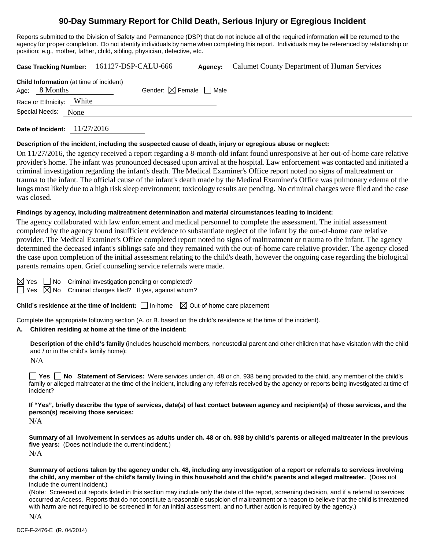# **90-Day Summary Report for Child Death, Serious Injury or Egregious Incident**

Reports submitted to the Division of Safety and Permanence (DSP) that do not include all of the required information will be returned to the agency for proper completion. Do not identify individuals by name when completing this report. Individuals may be referenced by relationship or position; e.g., mother, father, child, sibling, physician, detective, etc.

|                                                                   | Case Tracking Number: 161127-DSP-CALU-666 | Agency: | Calumet County Department of Human Services |
|-------------------------------------------------------------------|-------------------------------------------|---------|---------------------------------------------|
| <b>Child Information</b> (at time of incident)<br>Age: $8$ Months | Gender: $\boxtimes$ Female $\Box$ Male    |         |                                             |
| Race or Ethnicity: White                                          |                                           |         |                                             |
| Special Needs:<br>None                                            |                                           |         |                                             |
|                                                                   |                                           |         |                                             |

**Date of Incident:** 11/27/2016

## **Description of the incident, including the suspected cause of death, injury or egregious abuse or neglect:**

On 11/27/2016, the agency received a report regarding a 8-month-old infant found unresponsive at her out-of-home care relative provider's home. The infant was pronounced deceased upon arrival at the hospital. Law enforcement was contacted and initiated a criminal investigation regarding the infant's death. The Medical Examiner's Office report noted no signs of maltreatment or trauma to the infant. The official cause of the infant's death made by the Medical Examiner's Office was pulmonary edema of the lungs most likely due to a high risk sleep environment; toxicology results are pending. No criminal charges were filed and the case was closed.

## **Findings by agency, including maltreatment determination and material circumstances leading to incident:**

The agency collaborated with law enforcement and medical personnel to complete the assessment. The initial assessment completed by the agency found insufficient evidence to substantiate neglect of the infant by the out-of-home care relative provider. The Medical Examiner's Office completed report noted no signs of maltreatment or trauma to the infant. The agency determined the deceased infant's siblings safe and they remained with the out-of-home care relative provider. The agency closed the case upon completion of the initial assessment relating to the child's death, however the ongoing case regarding the biological parents remains open. Grief counseling service referrals were made.

| and the state of the state of the state of the state of the state of the state of the state of the state of th |  |
|----------------------------------------------------------------------------------------------------------------|--|

 $\Box$  No Criminal investigation pending or completed?

Yes  $\boxtimes$  No Criminal charges filed? If yes, against whom?

**Child's residence at the time of incident:** □ In-home  $\boxtimes$  Out-of-home care placement

Complete the appropriate following section (A. or B. based on the child's residence at the time of the incident).

## **A. Children residing at home at the time of the incident:**

**Description of the child's family** (includes household members, noncustodial parent and other children that have visitation with the child and / or in the child's family home):

 $N/A$ 

**Yes No Statement of Services:** Were services under ch. 48 or ch. 938 being provided to the child, any member of the child's family or alleged maltreater at the time of the incident, including any referrals received by the agency or reports being investigated at time of incident?

**If "Yes", briefly describe the type of services, date(s) of last contact between agency and recipient(s) of those services, and the person(s) receiving those services:**

N/A

**Summary of all involvement in services as adults under ch. 48 or ch. 938 by child's parents or alleged maltreater in the previous five years:** (Does not include the current incident.) N/A

**Summary of actions taken by the agency under ch. 48, including any investigation of a report or referrals to services involving the child, any member of the child's family living in this household and the child's parents and alleged maltreater.** (Does not include the current incident.)

(Note: Screened out reports listed in this section may include only the date of the report, screening decision, and if a referral to services occurred at Access. Reports that do not constitute a reasonable suspicion of maltreatment or a reason to believe that the child is threatened with harm are not required to be screened in for an initial assessment, and no further action is required by the agency.)

N/A